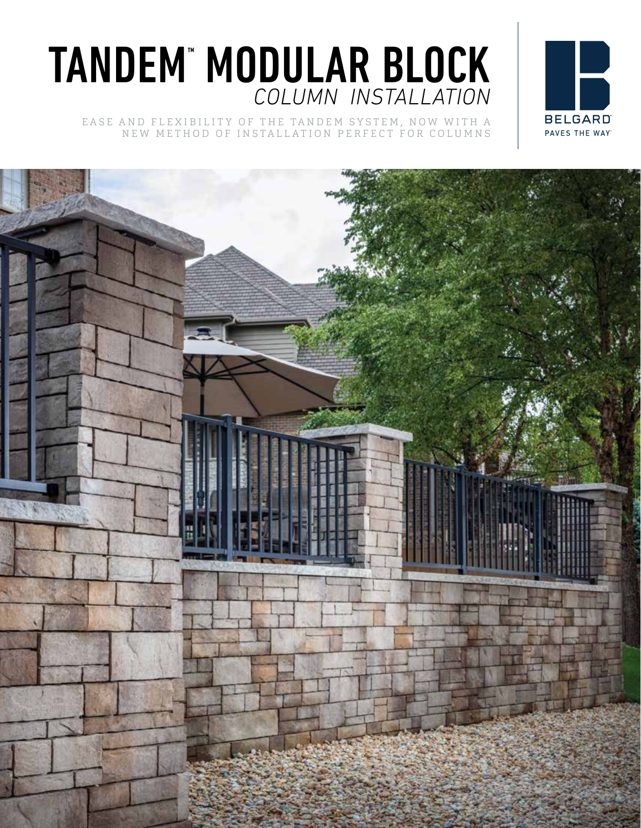## TANDEM™ MODULAR BLOCK *COLUMN INSTALLATION*

EASE AND FLEXIBILITY OF THE TANDEM SYSTEM, NOW WITH A NEW METHOD OF INSTALLATION PERFECT FOR COLUMNS